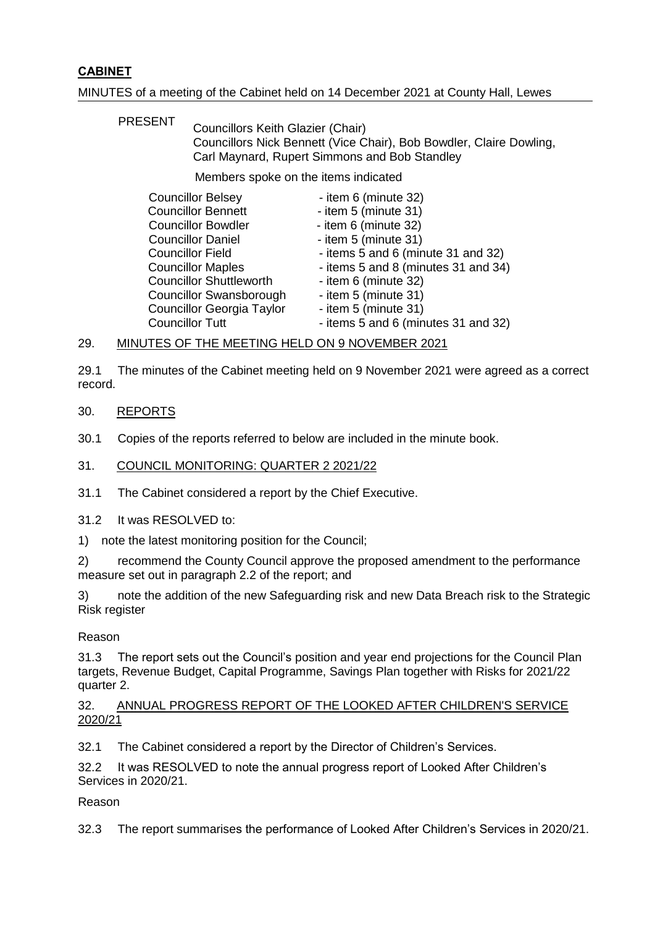# **CABINET**

# MINUTES of a meeting of the Cabinet held on 14 December 2021 at County Hall, Lewes

PRESENT Councillors Keith Glazier (Chair) Councillors Nick Bennett (Vice Chair), Bob Bowdler, Claire Dowling, Carl Maynard, Rupert Simmons and Bob Standley

Members spoke on the items indicated

| <b>Councillor Belsey</b>         | - item 6 (minute 32)                |
|----------------------------------|-------------------------------------|
| <b>Councillor Bennett</b>        | - item 5 (minute 31)                |
| <b>Councillor Bowdler</b>        | - item 6 (minute 32)                |
| <b>Councillor Daniel</b>         | - item $5$ (minute $31$ )           |
| <b>Councillor Field</b>          | - items 5 and 6 (minute 31 and 32)  |
| <b>Councillor Maples</b>         | - items 5 and 8 (minutes 31 and 34) |
| <b>Councillor Shuttleworth</b>   | - item 6 (minute 32)                |
| <b>Councillor Swansborough</b>   | - item 5 (minute 31)                |
| <b>Councillor Georgia Taylor</b> | - item 5 (minute 31)                |
| <b>Councillor Tutt</b>           | - items 5 and 6 (minutes 31 and 32) |

#### 29. MINUTES OF THE MEETING HELD ON 9 NOVEMBER 2021

29.1 The minutes of the Cabinet meeting held on 9 November 2021 were agreed as a correct record.

# 30. REPORTS

30.1 Copies of the reports referred to below are included in the minute book.

## 31. COUNCIL MONITORING: QUARTER 2 2021/22

31.1 The Cabinet considered a report by the Chief Executive.

31.2 It was RESOLVED to:

1) note the latest monitoring position for the Council;

2) recommend the County Council approve the proposed amendment to the performance measure set out in paragraph 2.2 of the report; and

3) note the addition of the new Safeguarding risk and new Data Breach risk to the Strategic Risk register

#### Reason

31.3 The report sets out the Council's position and year end projections for the Council Plan targets, Revenue Budget, Capital Programme, Savings Plan together with Risks for 2021/22 quarter 2.

# 32. ANNUAL PROGRESS REPORT OF THE LOOKED AFTER CHILDREN'S SERVICE 2020/21

32.1 The Cabinet considered a report by the Director of Children's Services.

32.2 It was RESOLVED to note the annual progress report of Looked After Children's Services in 2020/21.

#### Reason

32.3 The report summarises the performance of Looked After Children's Services in 2020/21.